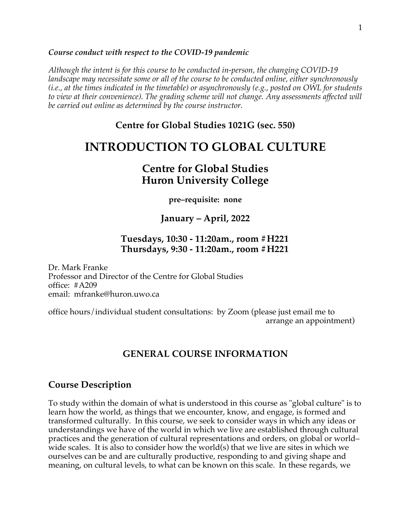#### *Course conduct with respect to the COVID-19 pandemic*

*Although the intent is for this course to be conducted in-person, the changing COVID-19 landscape may necessitate some or all of the course to be conducted online, either synchronously (i.e., at the times indicated in the timetable) or asynchronously (e.g., posted on OWL for students to view at their convenience). The grading scheme will not change. Any assessments affected will be carried out online as determined by the course instructor.*

## **Centre for Global Studies 1021G (sec. 550)**

# **INTRODUCTION TO GLOBAL CULTURE**

# **Centre for Global Studies Huron University College**

**pre–requisite: none**

## **January – April, 2022**

## **Tuesdays, 10:30 - 11:20am., room #H221 Thursdays, 9:30 - 11:20am., room #H221**

Dr. Mark Franke Professor and Director of the Centre for Global Studies office: #A209 email: mfranke@huron.uwo.ca

office hours/individual student consultations: by Zoom (please just email me to arrange an appointment)

# **GENERAL COURSE INFORMATION**

## **Course Description**

To study within the domain of what is understood in this course as "global culture" is to learn how the world, as things that we encounter, know, and engage, is formed and transformed culturally. In this course, we seek to consider ways in which any ideas or understandings we have of the world in which we live are established through cultural practices and the generation of cultural representations and orders, on global or world– wide scales. It is also to consider how the world(s) that we live are sites in which we ourselves can be and are culturally productive, responding to and giving shape and meaning, on cultural levels, to what can be known on this scale. In these regards, we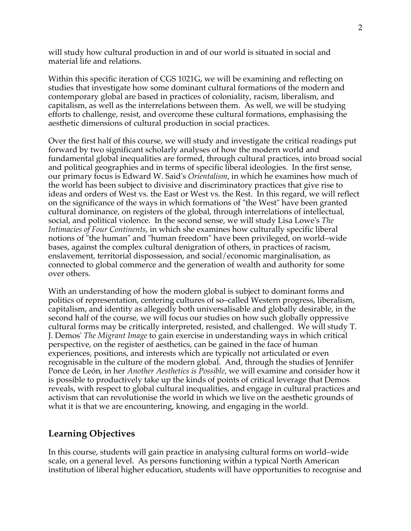will study how cultural production in and of our world is situated in social and material life and relations.

Within this specific iteration of CGS 1021G, we will be examining and reflecting on studies that investigate how some dominant cultural formations of the modern and contemporary global are based in practices of coloniality, racism, liberalism, and capitalism, as well as the interrelations between them. As well, we will be studying efforts to challenge, resist, and overcome these cultural formations, emphasising the aesthetic dimensions of cultural production in social practices.

Over the first half of this course, we will study and investigate the critical readings put forward by two significant scholarly analyses of how the modern world and fundamental global inequalities are formed, through cultural practices, into broad social and political geographies and in terms of specific liberal ideologies. In the first sense, our primary focus is Edward W. Said's *Orientalism*, in which he examines how much of the world has been subject to divisive and discriminatory practices that give rise to ideas and orders of West vs. the East or West vs. the Rest. In this regard, we will reflect on the significance of the ways in which formations of "the West" have been granted cultural dominance, on registers of the global, through interrelations of intellectual, social, and political violence. In the second sense, we will study Lisa Lowe's *The Intimacies of Four Continents*, in which she examines how culturally specific liberal notions of "the human" and "human freedom" have been privileged, on world–wide bases, against the complex cultural denigration of others, in practices of racism, enslavement, territorial dispossession, and social/economic marginalisation, as connected to global commerce and the generation of wealth and authority for some over others.

With an understanding of how the modern global is subject to dominant forms and politics of representation, centering cultures of so–called Western progress, liberalism, capitalism, and identity as allegedly both universalisable and globally desirable, in the second half of the course, we will focus our studies on how such globally oppressive cultural forms may be critically interpreted, resisted, and challenged. We will study T. J. Demos' *The Migrant Image* to gain exercise in understanding ways in which critical perspective, on the register of aesthetics, can be gained in the face of human experiences, positions, and interests which are typically not articulated or even recognisable in the culture of the modern global. And, through the studies of Jennifer Ponce de León, in her *Another Aesthetics is Possible*, we will examine and consider how it is possible to productively take up the kinds of points of critical leverage that Demos reveals, with respect to global cultural inequalities, and engage in cultural practices and activism that can revolutionise the world in which we live on the aesthetic grounds of what it is that we are encountering, knowing, and engaging in the world.

## **Learning Objectives**

In this course, students will gain practice in analysing cultural forms on world–wide scale, on a general level. As persons functioning within a typical North American institution of liberal higher education, students will have opportunities to recognise and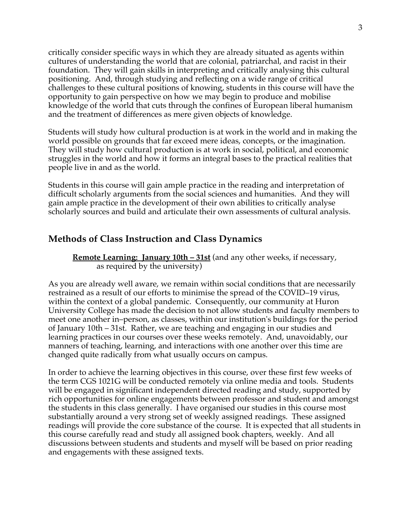critically consider specific ways in which they are already situated as agents within cultures of understanding the world that are colonial, patriarchal, and racist in their foundation. They will gain skills in interpreting and critically analysing this cultural positioning. And, through studying and reflecting on a wide range of critical challenges to these cultural positions of knowing, students in this course will have the opportunity to gain perspective on how we may begin to produce and mobilise knowledge of the world that cuts through the confines of European liberal humanism and the treatment of differences as mere given objects of knowledge.

Students will study how cultural production is at work in the world and in making the world possible on grounds that far exceed mere ideas, concepts, or the imagination. They will study how cultural production is at work in social, political, and economic struggles in the world and how it forms an integral bases to the practical realities that people live in and as the world.

Students in this course will gain ample practice in the reading and interpretation of difficult scholarly arguments from the social sciences and humanities. And they will gain ample practice in the development of their own abilities to critically analyse scholarly sources and build and articulate their own assessments of cultural analysis.

# **Methods of Class Instruction and Class Dynamics**

**Remote Learning: January 10th – 31st** (and any other weeks, if necessary, as required by the university)

As you are already well aware, we remain within social conditions that are necessarily restrained as a result of our efforts to minimise the spread of the COVID–19 virus, within the context of a global pandemic. Consequently, our community at Huron University College has made the decision to not allow students and faculty members to meet one another in–person, as classes, within our institution's buildings for the period of January 10th – 31st. Rather, we are teaching and engaging in our studies and learning practices in our courses over these weeks remotely. And, unavoidably, our manners of teaching, learning, and interactions with one another over this time are changed quite radically from what usually occurs on campus.

In order to achieve the learning objectives in this course, over these first few weeks of the term CGS 1021G will be conducted remotely via online media and tools. Students will be engaged in significant independent directed reading and study, supported by rich opportunities for online engagements between professor and student and amongst the students in this class generally. I have organised our studies in this course most substantially around a very strong set of weekly assigned readings. These assigned readings will provide the core substance of the course. It is expected that all students in this course carefully read and study all assigned book chapters, weekly. And all discussions between students and students and myself will be based on prior reading and engagements with these assigned texts.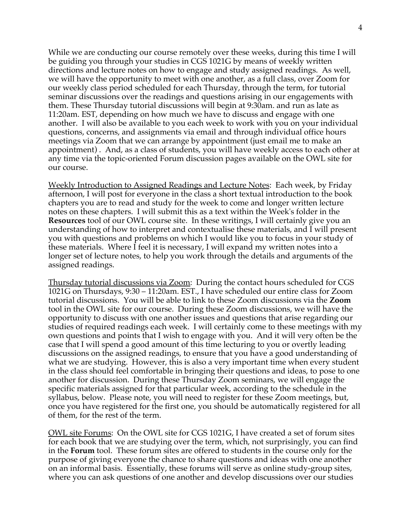While we are conducting our course remotely over these weeks, during this time I will be guiding you through your studies in CGS 1021G by means of weekly written directions and lecture notes on how to engage and study assigned readings. As well, we will have the opportunity to meet with one another, as a full class, over Zoom for our weekly class period scheduled for each Thursday, through the term, for tutorial seminar discussions over the readings and questions arising in our engagements with them. These Thursday tutorial discussions will begin at 9:30am. and run as late as 11:20am. EST, depending on how much we have to discuss and engage with one another. I will also be available to you each week to work with you on your individual questions, concerns, and assignments via email and through individual office hours meetings via Zoom that we can arrange by appointment (just email me to make an appointment) . And, as a class of students, you will have weekly access to each other at any time via the topic-oriented Forum discussion pages available on the OWL site for our course.

Weekly Introduction to Assigned Readings and Lecture Notes: Each week, by Friday afternoon, I will post for everyone in the class a short textual introduction to the book chapters you are to read and study for the week to come and longer written lecture notes on these chapters. I will submit this as a text within the Week's folder in the **Resources** tool of our OWL course site. In these writings, I will certainly give you an understanding of how to interpret and contextualise these materials, and I will present you with questions and problems on which I would like you to focus in your study of these materials. Where I feel it is necessary, I will expand my written notes into a longer set of lecture notes, to help you work through the details and arguments of the assigned readings.

Thursday tutorial discussions via Zoom: During the contact hours scheduled for CGS 1021G on Thursdays, 9:30 – 11:20am. EST., I have scheduled our entire class for Zoom tutorial discussions. You will be able to link to these Zoom discussions via the **Zoom** tool in the OWL site for our course. During these Zoom discussions, we will have the opportunity to discuss with one another issues and questions that arise regarding our studies of required readings each week. I will certainly come to these meetings with my own questions and points that I wish to engage with you. And it will very often be the case that I will spend a good amount of this time lecturing to you or overtly leading discussions on the assigned readings, to ensure that you have a good understanding of what we are studying. However, this is also a very important time when every student in the class should feel comfortable in bringing their questions and ideas, to pose to one another for discussion. During these Thursday Zoom seminars, we will engage the specific materials assigned for that particular week, according to the schedule in the syllabus, below. Please note, you will need to register for these Zoom meetings, but, once you have registered for the first one, you should be automatically registered for all of them, for the rest of the term.

OWL site Forums: On the OWL site for CGS 1021G, I have created a set of forum sites for each book that we are studying over the term, which, not surprisingly, you can find in the **Forum** tool. These forum sites are offered to students in the course only for the purpose of giving everyone the chance to share questions and ideas with one another on an informal basis. Essentially, these forums will serve as online study-group sites, where you can ask questions of one another and develop discussions over our studies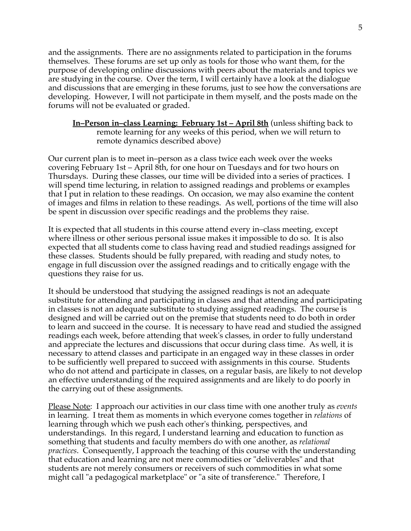and the assignments. There are no assignments related to participation in the forums themselves. These forums are set up only as tools for those who want them, for the purpose of developing online discussions with peers about the materials and topics we are studying in the course. Over the term, I will certainly have a look at the dialogue and discussions that are emerging in these forums, just to see how the conversations are developing. However, I will not participate in them myself, and the posts made on the forums will not be evaluated or graded.

## **In–Person in–class Learning: February 1st – April 8th** (unless shifting back to remote learning for any weeks of this period, when we will return to remote dynamics described above)

Our current plan is to meet in–person as a class twice each week over the weeks covering February 1st – April 8th, for one hour on Tuesdays and for two hours on Thursdays. During these classes, our time will be divided into a series of practices. I will spend time lecturing, in relation to assigned readings and problems or examples that I put in relation to these readings. On occasion, we may also examine the content of images and films in relation to these readings. As well, portions of the time will also be spent in discussion over specific readings and the problems they raise.

It is expected that all students in this course attend every in–class meeting, except where illness or other serious personal issue makes it impossible to do so. It is also expected that all students come to class having read and studied readings assigned for these classes. Students should be fully prepared, with reading and study notes, to engage in full discussion over the assigned readings and to critically engage with the questions they raise for us.

It should be understood that studying the assigned readings is not an adequate substitute for attending and participating in classes and that attending and participating in classes is not an adequate substitute to studying assigned readings. The course is designed and will be carried out on the premise that students need to do both in order to learn and succeed in the course. It is necessary to have read and studied the assigned readings each week, before attending that week's classes, in order to fully understand and appreciate the lectures and discussions that occur during class time. As well, it is necessary to attend classes and participate in an engaged way in these classes in order to be sufficiently well prepared to succeed with assignments in this course. Students who do not attend and participate in classes, on a regular basis, are likely to not develop an effective understanding of the required assignments and are likely to do poorly in the carrying out of these assignments.

Please Note: I approach our activities in our class time with one another truly as *events* in learning. I treat them as moments in which everyone comes together in *relations* of learning through which we push each other's thinking, perspectives, and understandings. In this regard, I understand learning and education to function as something that students and faculty members do with one another, as *relational practices*. Consequently, I approach the teaching of this course with the understanding that education and learning are not mere commodities or "deliverables" and that students are not merely consumers or receivers of such commodities in what some might call "a pedagogical marketplace" or "a site of transference." Therefore, I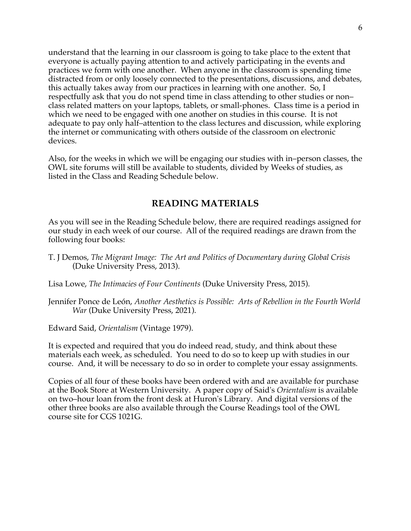understand that the learning in our classroom is going to take place to the extent that everyone is actually paying attention to and actively participating in the events and practices we form with one another. When anyone in the classroom is spending time distracted from or only loosely connected to the presentations, discussions, and debates, this actually takes away from our practices in learning with one another. So, I respectfully ask that you do not spend time in class attending to other studies or non– class related matters on your laptops, tablets, or small-phones. Class time is a period in which we need to be engaged with one another on studies in this course. It is not adequate to pay only half–attention to the class lectures and discussion, while exploring the internet or communicating with others outside of the classroom on electronic devices.

Also, for the weeks in which we will be engaging our studies with in–person classes, the OWL site forums will still be available to students, divided by Weeks of studies, as listed in the Class and Reading Schedule below.

# **READING MATERIALS**

As you will see in the Reading Schedule below, there are required readings assigned for our study in each week of our course. All of the required readings are drawn from the following four books:

T. J Demos, *The Migrant Image: The Art and Politics of Documentary during Global Crisis* (Duke University Press, 2013).

Lisa Lowe, *The Intimacies of Four Continents* (Duke University Press, 2015).

Jennifer Ponce de León, *Another Aesthetics is Possible: Arts of Rebellion in the Fourth World War* (Duke University Press, 2021).

Edward Said, *Orientalism* (Vintage 1979).

It is expected and required that you do indeed read, study, and think about these materials each week, as scheduled. You need to do so to keep up with studies in our course. And, it will be necessary to do so in order to complete your essay assignments.

Copies of all four of these books have been ordered with and are available for purchase at the Book Store at Western University. A paper copy of Said's *Orientalism* is available on two–hour loan from the front desk at Huron's Library. And digital versions of the other three books are also available through the Course Readings tool of the OWL course site for CGS 1021G.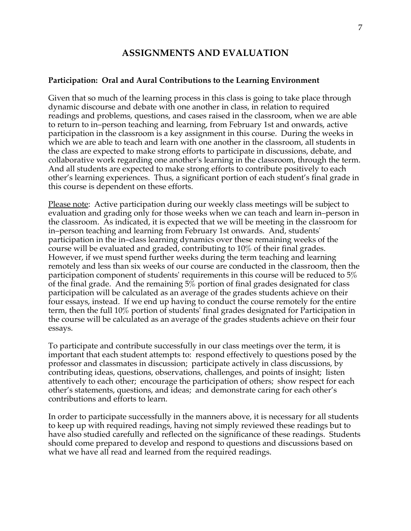# **ASSIGNMENTS AND EVALUATION**

## **Participation: Oral and Aural Contributions to the Learning Environment**

Given that so much of the learning process in this class is going to take place through dynamic discourse and debate with one another in class, in relation to required readings and problems, questions, and cases raised in the classroom, when we are able to return to in–person teaching and learning, from February 1st and onwards, active participation in the classroom is a key assignment in this course. During the weeks in which we are able to teach and learn with one another in the classroom, all students in the class are expected to make strong efforts to participate in discussions, debate, and collaborative work regarding one another's learning in the classroom, through the term. And all students are expected to make strong efforts to contribute positively to each other's learning experiences. Thus, a significant portion of each student's final grade in this course is dependent on these efforts.

Please note: Active participation during our weekly class meetings will be subject to evaluation and grading only for those weeks when we can teach and learn in–person in the classroom. As indicated, it is expected that we will be meeting in the classroom for in–person teaching and learning from February 1st onwards. And, students' participation in the in–class learning dynamics over these remaining weeks of the course will be evaluated and graded, contributing to 10% of their final grades. However, if we must spend further weeks during the term teaching and learning remotely and less than six weeks of our course are conducted in the classroom, then the participation component of students' requirements in this course will be reduced to 5% of the final grade. And the remaining 5% portion of final grades designated for class participation will be calculated as an average of the grades students achieve on their four essays, instead. If we end up having to conduct the course remotely for the entire term, then the full 10% portion of students' final grades designated for Participation in the course will be calculated as an average of the grades students achieve on their four essays.

To participate and contribute successfully in our class meetings over the term, it is important that each student attempts to: respond effectively to questions posed by the professor and classmates in discussion; participate actively in class discussions, by contributing ideas, questions, observations, challenges, and points of insight; listen attentively to each other; encourage the participation of others; show respect for each other's statements, questions, and ideas; and demonstrate caring for each other's contributions and efforts to learn.

In order to participate successfully in the manners above, it is necessary for all students to keep up with required readings, having not simply reviewed these readings but to have also studied carefully and reflected on the significance of these readings. Students should come prepared to develop and respond to questions and discussions based on what we have all read and learned from the required readings.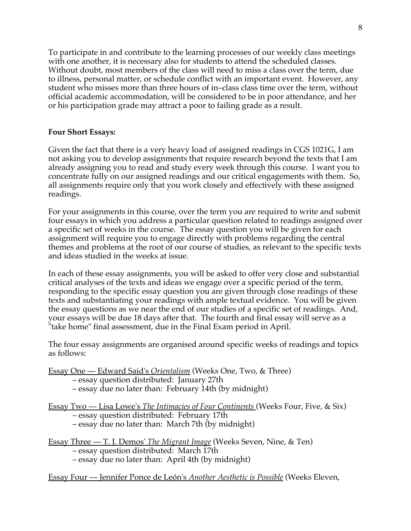To participate in and contribute to the learning processes of our weekly class meetings with one another, it is necessary also for students to attend the scheduled classes. Without doubt, most members of the class will need to miss a class over the term, due to illness, personal matter, or schedule conflict with an important event. However, any student who misses more than three hours of in–class class time over the term, without official academic accommodation, will be considered to be in poor attendance, and her or his participation grade may attract a poor to failing grade as a result.

## **Four Short Essays:**

Given the fact that there is a very heavy load of assigned readings in CGS 1021G, I am not asking you to develop assignments that require research beyond the texts that I am already assigning you to read and study every week through this course. I want you to concentrate fully on our assigned readings and our critical engagements with them. So, all assignments require only that you work closely and effectively with these assigned readings.

For your assignments in this course, over the term you are required to write and submit four essays in which you address a particular question related to readings assigned over a specific set of weeks in the course. The essay question you will be given for each assignment will require you to engage directly with problems regarding the central themes and problems at the root of our course of studies, as relevant to the specific texts and ideas studied in the weeks at issue.

In each of these essay assignments, you will be asked to offer very close and substantial critical analyses of the texts and ideas we engage over a specific period of the term, responding to the specific essay question you are given through close readings of these texts and substantiating your readings with ample textual evidence. You will be given the essay questions as we near the end of our studies of a specific set of readings. And, your essays will be due 18 days after that. The fourth and final essay will serve as a "take home" final assessment, due in the Final Exam period in April.

The four essay assignments are organised around specific weeks of readings and topics as follows:

Essay One — Edward Said's *Orientalism* (Weeks One, Two, & Three)

– essay question distributed: January 27th

– essay due no later than: February 14th (by midnight)

Essay Two — Lisa Lowe's *The Intimacies of Four Continents* (Weeks Four, Five, & Six)

– essay question distributed: February 17th

– essay due no later than: March 7th (by midnight)

Essay Three — T. J. Demos' *The Migrant Image* (Weeks Seven, Nine, & Ten) – essay question distributed: March 17th

– essay due no later than: April 4th (by midnight)

Essay Four — Jennifer Ponce de León's *Another Aesthetic is Possible* (Weeks Eleven,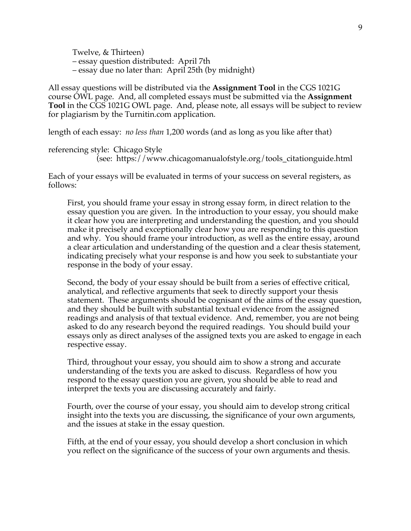Twelve, & Thirteen) – essay question distributed: April 7th – essay due no later than: April 25th (by midnight)

All essay questions will be distributed via the **Assignment Tool** in the CGS 1021G course OWL page. And, all completed essays must be submitted via the **Assignment Tool** in the CGS 1021G OWL page. And, please note, all essays will be subject to review for plagiarism by the Turnitin.com application.

length of each essay: *no less than* 1,200 words (and as long as you like after that)

referencing style: Chicago Style

(see: https://www.chicagomanualofstyle.org/tools\_citationguide.html

Each of your essays will be evaluated in terms of your success on several registers, as follows:

First, you should frame your essay in strong essay form, in direct relation to the essay question you are given. In the introduction to your essay, you should make it clear how you are interpreting and understanding the question, and you should make it precisely and exceptionally clear how you are responding to this question and why. You should frame your introduction, as well as the entire essay, around a clear articulation and understanding of the question and a clear thesis statement, indicating precisely what your response is and how you seek to substantiate your response in the body of your essay.

Second, the body of your essay should be built from a series of effective critical, analytical, and reflective arguments that seek to directly support your thesis statement. These arguments should be cognisant of the aims of the essay question, and they should be built with substantial textual evidence from the assigned readings and analysis of that textual evidence. And, remember, you are not being asked to do any research beyond the required readings. You should build your essays only as direct analyses of the assigned texts you are asked to engage in each respective essay.

Third, throughout your essay, you should aim to show a strong and accurate understanding of the texts you are asked to discuss. Regardless of how you respond to the essay question you are given, you should be able to read and interpret the texts you are discussing accurately and fairly.

Fourth, over the course of your essay, you should aim to develop strong critical insight into the texts you are discussing, the significance of your own arguments, and the issues at stake in the essay question.

Fifth, at the end of your essay, you should develop a short conclusion in which you reflect on the significance of the success of your own arguments and thesis.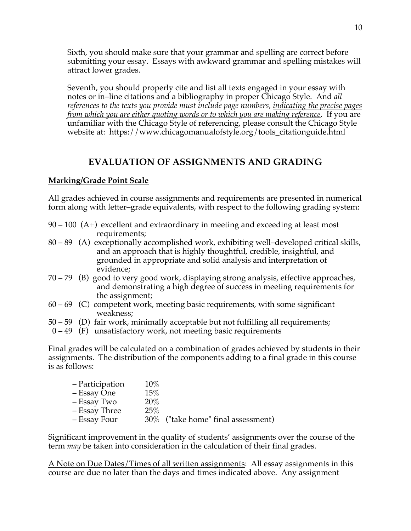Sixth, you should make sure that your grammar and spelling are correct before submitting your essay. Essays with awkward grammar and spelling mistakes will attract lower grades.

Seventh, you should properly cite and list all texts engaged in your essay with notes or in–line citations and a bibliography in proper Chicago Style. And *all references to the texts you provide must include page numbers, indicating the precise pages from which you are either quoting words or to which you are making reference*. If you are unfamiliar with the Chicago Style of referencing, please consult the Chicago Style website at: https://www.chicagomanualofstyle.org/tools\_citationguide.html

# **EVALUATION OF ASSIGNMENTS AND GRADING**

## **Marking/Grade Point Scale**

All grades achieved in course assignments and requirements are presented in numerical form along with letter–grade equivalents, with respect to the following grading system:

- $90 100$  (A+) excellent and extraordinary in meeting and exceeding at least most requirements;
- 80 89 (A) exceptionally accomplished work, exhibiting well–developed critical skills, and an approach that is highly thoughtful, credible, insightful, and grounded in appropriate and solid analysis and interpretation of evidence;
- 70 79 (B) good to very good work, displaying strong analysis, effective approaches, and demonstrating a high degree of success in meeting requirements for the assignment;
- $60 69$  (C) competent work, meeting basic requirements, with some significant weakness;
- 50 59 (D) fair work, minimally acceptable but not fulfilling all requirements;
- $0 49$  (F) unsatisfactory work, not meeting basic requirements

Final grades will be calculated on a combination of grades achieved by students in their assignments. The distribution of the components adding to a final grade in this course is as follows:

| - Participation | $10\%$ |                                |
|-----------------|--------|--------------------------------|
| – Essay One     | $15\%$ |                                |
| - Essay Two     | 20%    |                                |
| - Essay Three   | 25%    |                                |
| – Essay Four    | $30\%$ | ("take home" final assessment) |

Significant improvement in the quality of students' assignments over the course of the term *may* be taken into consideration in the calculation of their final grades.

A Note on Due Dates/Times of all written assignments: All essay assignments in this course are due no later than the days and times indicated above. Any assignment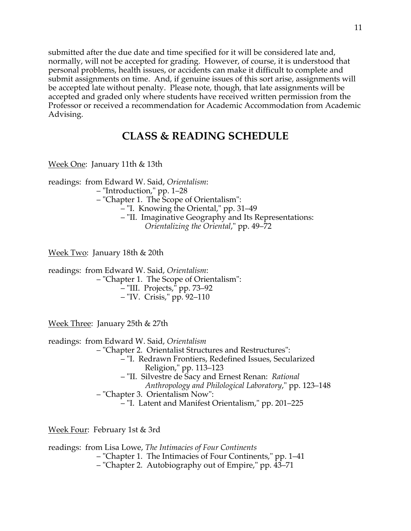submitted after the due date and time specified for it will be considered late and, normally, will not be accepted for grading. However, of course, it is understood that personal problems, health issues, or accidents can make it difficult to complete and submit assignments on time. And, if genuine issues of this sort arise, assignments will be accepted late without penalty. Please note, though, that late assignments will be accepted and graded only where students have received written permission from the Professor or received a recommendation for Academic Accommodation from Academic Advising.

# **CLASS & READING SCHEDULE**

Week One: January 11th & 13th

readings: from Edward W. Said, *Orientalism*:

– "Introduction," pp. 1–28

– "Chapter 1. The Scope of Orientalism":

– "I. Knowing the Oriental," pp. 31–49

– "II. Imaginative Geography and Its Representations: *Orientalizing the Oriental*," pp. 49–72

Week Two: January 18th & 20th

readings: from Edward W. Said, *Orientalism*:

– "Chapter 1. The Scope of Orientalism":

– "III. Projects," pp. 73–92

– "IV. Crisis," pp. 92–110

Week Three: January 25th & 27th

readings: from Edward W. Said, *Orientalism*

– "Chapter 2. Orientalist Structures and Restructures":

- "I. Redrawn Frontiers, Redefined Issues, Secularized Religion," pp. 113–123
- "II. Silvestre de Sacy and Ernest Renan: *Rational Anthropology and Philological Laboratory*," pp. 123–148
- "Chapter 3. Orientalism Now":

– "I. Latent and Manifest Orientalism," pp. 201–225

Week Four: February 1st & 3rd

readings: from Lisa Lowe, *The Intimacies of Four Continents*

– "Chapter 1. The Intimacies of Four Continents," pp. 1–41

– "Chapter 2. Autobiography out of Empire," pp. 43–71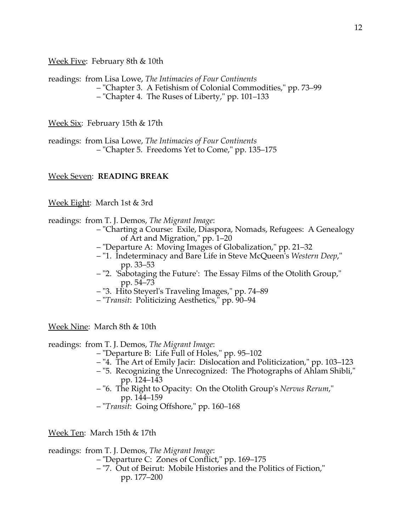Week Five: February 8th & 10th

readings: from Lisa Lowe, *The Intimacies of Four Continents* – "Chapter 3. A Fetishism of Colonial Commodities," pp. 73–99 – "Chapter 4. The Ruses of Liberty," pp. 101–133

Week Six: February 15th & 17th

readings: from Lisa Lowe, *The Intimacies of Four Continents* – "Chapter 5. Freedoms Yet to Come," pp. 135–175

## Week Seven: **READING BREAK**

Week Eight: March 1st & 3rd

readings: from T. J. Demos, *The Migrant Image*:

- "Charting a Course: Exile, Diaspora, Nomads, Refugees: A Genealogy of Art and Migration," pp. 1–20
- "Departure A: Moving Images of Globalization," pp. 21–32
- "1. Indeterminacy and Bare Life in Steve McQueen's *Western Deep*," pp. 33–53
- "2. 'Sabotaging the Future': The Essay Films of the Otolith Group," pp. 54–73
- "3. Hito Steyerl's Traveling Images," pp. 74–89
- "*Transit*: Politicizing Aesthetics," pp. 90–94

Week Nine: March 8th & 10th

readings: from T. J. Demos, *The Migrant Image*:

- "Departure B: Life Full of Holes," pp. 95–102
- "4. The Art of Emily Jacir: Dislocation and Politicization," pp. 103–123
- "5. Recognizing the Unrecognized: The Photographs of Ahlam Shibli," pp. 124–143
- "6. The Right to Opacity: On the Otolith Group's *Nervus Rerum*," pp. 144–159
- "*Transit*: Going Offshore," pp. 160–168

Week Ten: March 15th & 17th

readings: from T. J. Demos, *The Migrant Image*:

- "Departure C: Zones of Conflict," pp. 169–175
- "7. Out of Beirut: Mobile Histories and the Politics of Fiction,"

12

pp. 177–200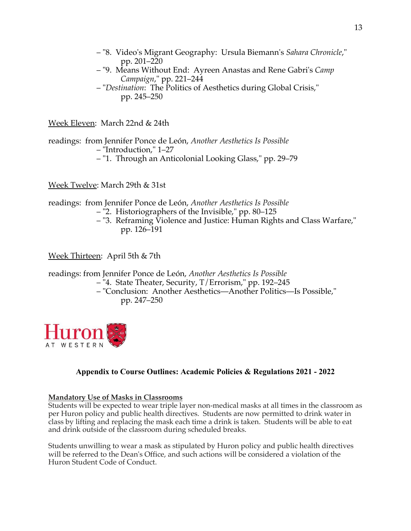- "8. Video's Migrant Geography: Ursula Biemann's *Sahara Chronicle*," pp. 201–220
- "9. Means Without End: Ayreen Anastas and Rene Gabri's *Camp Campaign*," pp. 221–244
- "*Destination*: The Politics of Aesthetics during Global Crisis," pp. 245–250

Week Eleven: March 22nd & 24th

readings: from Jennifer Ponce de León, *Another Aesthetics Is Possible* – "Introduction," 1–27

– "1. Through an Anticolonial Looking Glass," pp. 29–79

Week Twelve: March 29th & 31st

readings: from Jennifer Ponce de León, *Another Aesthetics Is Possible*

- "2. Historiographers of the Invisible," pp. 80–125
- "3. Reframing Violence and Justice: Human Rights and Class Warfare," pp. 126–191

Week Thirteen: April 5th & 7th

readings: from Jennifer Ponce de León, *Another Aesthetics Is Possible*

- "4. State Theater, Security, T/Errorism," pp. 192–245
- "Conclusion: Another Aesthetics—Another Politics—Is Possible," pp. 247–250



## **Appendix to Course Outlines: Academic Policies & Regulations 2021 - 2022**

## **Mandatory Use of Masks in Classrooms**

Students will be expected to wear triple layer non-medical masks at all times in the classroom as per Huron policy and public health directives. Students are now permitted to drink water in class by lifting and replacing the mask each time a drink is taken. Students will be able to eat and drink outside of the classroom during scheduled breaks.

Students unwilling to wear a mask as stipulated by Huron policy and public health directives will be referred to the Dean's Office, and such actions will be considered a violation of the Huron Student Code of Conduct.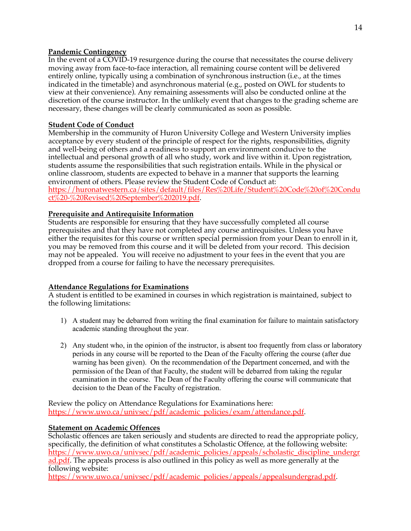## **Pandemic Contingency**

In the event of a COVID-19 resurgence during the course that necessitates the course delivery moving away from face-to-face interaction, all remaining course content will be delivered entirely online, typically using a combination of synchronous instruction (i.e., at the times indicated in the timetable) and asynchronous material (e.g., posted on OWL for students to view at their convenience). Any remaining assessments will also be conducted online at the discretion of the course instructor. In the unlikely event that changes to the grading scheme are necessary, these changes will be clearly communicated as soon as possible.

## **Student Code of Conduct**

Membership in the community of Huron University College and Western University implies acceptance by every student of the principle of respect for the rights, responsibilities, dignity and well-being of others and a readiness to support an environment conducive to the intellectual and personal growth of all who study, work and live within it. Upon registration, students assume the responsibilities that such registration entails. While in the physical or online classroom, students are expected to behave in a manner that supports the learning environment of others. Please review the Student Code of Conduct at: https://huronatwestern.ca/sites/default/files/Res%20Life/Student%20Code%20of%20Condu

 $ct\%$ 20-%20Revised%20September%202019.pdf.

## **Prerequisite and Antirequisite Information**

Students are responsible for ensuring that they have successfully completed all course prerequisites and that they have not completed any course antirequisites. Unless you have either the requisites for this course or written special permission from your Dean to enroll in it, you may be removed from this course and it will be deleted from your record. This decision may not be appealed. You will receive no adjustment to your fees in the event that you are dropped from a course for failing to have the necessary prerequisites.

## **Attendance Regulations for Examinations**

A student is entitled to be examined in courses in which registration is maintained, subject to the following limitations:

- 1) A student may be debarred from writing the final examination for failure to maintain satisfactory academic standing throughout the year.
- 2) Any student who, in the opinion of the instructor, is absent too frequently from class or laboratory periods in any course will be reported to the Dean of the Faculty offering the course (after due warning has been given). On the recommendation of the Department concerned, and with the permission of the Dean of that Faculty, the student will be debarred from taking the regular examination in the course. The Dean of the Faculty offering the course will communicate that decision to the Dean of the Faculty of registration.

Review the policy on Attendance Regulations for Examinations here: https://www.uwo.ca/univsec/pdf/academic\_policies/exam/attendance.pdf.

## **Statement on Academic Offences**

Scholastic offences are taken seriously and students are directed to read the appropriate policy, specifically, the definition of what constitutes a Scholastic Offence, at the following website: https://www.uwo.ca/univsec/pdf/academic\_policies/appeals/scholastic\_discipline\_undergr ad.pdf. The appeals process is also outlined in this policy as well as more generally at the following website:

https://www.uwo.ca/univsec/pdf/academic\_policies/appeals/appealsundergrad.pdf.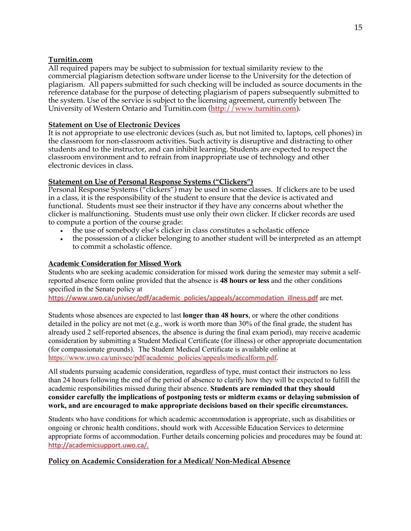#### **Turnitin.com**

All required papers may be subject to submission for textual similarity review to the commercial plagiarism detection software under license to the University for the detection of plagiarism. All papers submitted for such checking will be included as source documents in the reference database for the purpose of detecting plagiarism of papers subsequently submitted to the system. Use of the service is subject to the licensing agreement, currently between The University of Western Ontario and Turnitin.com (http://www.turnitin.com).

## **Statement on Use of Electronic Devices**

It is not appropriate to use electronic devices (such as, but not limited to, laptops, cell phones) in the classroom for non-classroom activities. Such activity is disruptive and distracting to other students and to the instructor, and can inhibit learning. Students are expected to respect the classroom environment and to refrain from inappropriate use of technology and other electronic devices in class.

## **Statement on Use of Personal Response Systems ("Clickers")**

Personal Response Systems ("clickers") may be used in some classes. If clickers are to be used in a class, it is the responsibility of the student to ensure that the device is activated and functional. Students must see their instructor if they have any concerns about whether the clicker is malfunctioning. Students must use only their own clicker. If clicker records are used to compute a portion of the course grade:

- the use of somebody else's clicker in class constitutes a scholastic offence
- the possession of a clicker belonging to another student will be interpreted as an attempt to commit a scholastic offence.

## **Academic Consideration for Missed Work**

Students who are seeking academic consideration for missed work during the semester may submit a selfreported absence form online provided that the absence is **48 hours or less** and the other conditions specified in the Senate policy at

https://www.uwo.ca/univsec/pdf/academic\_policies/appeals/accommodation\_illness.pdf are met.

Students whose absences are expected to last **longer than 48 hours**, or where the other conditions detailed in the policy are not met (e.g., work is worth more than 30% of the final grade, the student has already used 2 self-reported absences, the absence is during the final exam period), may receive academic consideration by submitting a Student Medical Certificate (for illness) or other appropriate documentation (for compassionate grounds). The Student Medical Certificate is available online at https://www.uwo.ca/univsec/pdf/academic\_policies/appeals/medicalform.pdf.

All students pursuing academic consideration, regardless of type, must contact their instructors no less than 24 hours following the end of the period of absence to clarify how they will be expected to fulfill the academic responsibilities missed during their absence. **Students are reminded that they should consider carefully the implications of postponing tests or midterm exams or delaying submission of work, and are encouraged to make appropriate decisions based on their specific circumstances.**

Students who have conditions for which academic accommodation is appropriate, such as disabilities or ongoing or chronic health conditions, should work with Accessible Education Services to determine appropriate forms of accommodation. Further details concerning policies and procedures may be found at: http://academicsupport.uwo.ca/.

## **Policy on Academic Consideration for a Medical/ Non-Medical Absence**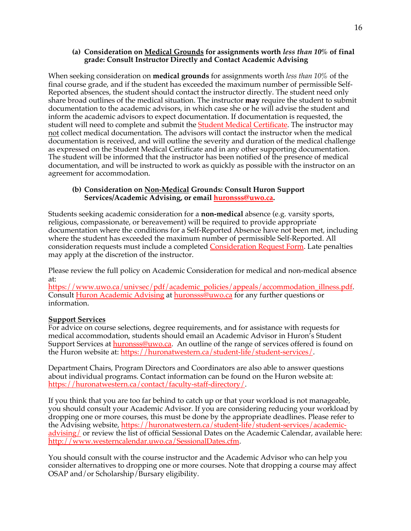#### **(a) Consideration on Medical Grounds for assignments worth** *less than 10%* **of final grade: Consult Instructor Directly and Contact Academic Advising**

When seeking consideration on **medical grounds** for assignments worth *less than 10%* of the final course grade, and if the student has exceeded the maximum number of permissible Self-Reported absences, the student should contact the instructor directly. The student need only share broad outlines of the medical situation. The instructor **may** require the student to submit documentation to the academic advisors, in which case she or he will advise the student and inform the academic advisors to expect documentation. If documentation is requested, the student will need to complete and submit the **Student Medical Certificate**. The instructor may not collect medical documentation. The advisors will contact the instructor when the medical documentation is received, and will outline the severity and duration of the medical challenge as expressed on the Student Medical Certificate and in any other supporting documentation. The student will be informed that the instructor has been notified of the presence of medical documentation, and will be instructed to work as quickly as possible with the instructor on an agreement for accommodation.

#### **(b) Consideration on Non-Medical Grounds: Consult Huron Support Services/Academic Advising, or email huronsss@uwo.ca.**

Students seeking academic consideration for a **non-medical** absence (e.g. varsity sports, religious, compassionate, or bereavement) will be required to provide appropriate documentation where the conditions for a Self-Reported Absence have not been met, including where the student has exceeded the maximum number of permissible Self-Reported. All consideration requests must include a completed Consideration Request Form. Late penalties may apply at the discretion of the instructor.

Please review the full policy on Academic Consideration for medical and non-medical absence at:

https://www.uwo.ca/univsec/pdf/academic\_policies/appeals/accommodation\_illness.pdf. Consult Huron Academic Advising at huronsss@uwo.ca for any further questions or information.

## **Support Services**

For advice on course selections, degree requirements, and for assistance with requests for medical accommodation, students should email an Academic Advisor in Huron's Student Support Services at **huronsss@uwo.ca**. An outline of the range of services offered is found on the Huron website at: https://huronatwestern.ca/student-life/student-services/.

Department Chairs, Program Directors and Coordinators are also able to answer questions about individual programs. Contact information can be found on the Huron website at: https://huronatwestern.ca/contact/faculty-staff-directory/.

If you think that you are too far behind to catch up or that your workload is not manageable, you should consult your Academic Advisor. If you are considering reducing your workload by dropping one or more courses, this must be done by the appropriate deadlines. Please refer to the Advising website, https://huronatwestern.ca/student-life/student-services/academicadvising/ or review the list of official Sessional Dates on the Academic Calendar, available here: http://www.westerncalendar.uwo.ca/SessionalDates.cfm.

You should consult with the course instructor and the Academic Advisor who can help you consider alternatives to dropping one or more courses. Note that dropping a course may affect OSAP and/or Scholarship/Bursary eligibility.